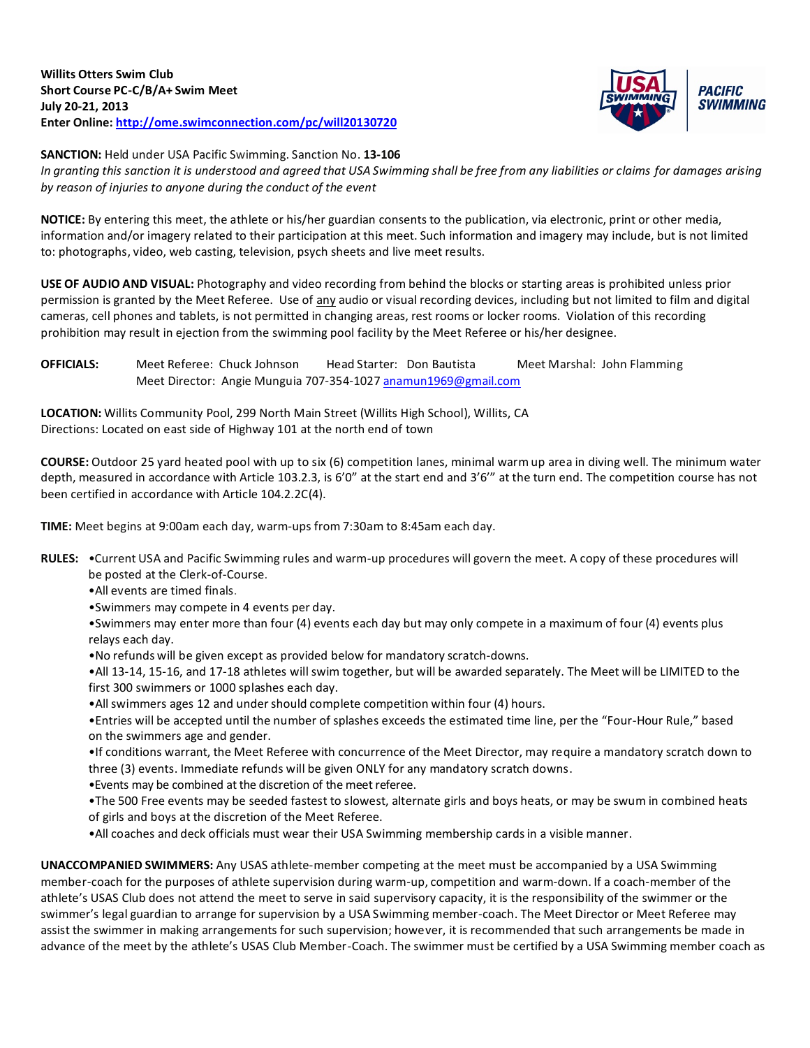

**SANCTION:** Held under USA Pacific Swimming. Sanction No. **13-106**

In granting this sanction it is understood and gareed that USA Swimming shall be free from any liabilities or claims for damages arising *by reason of injuries to anyone during the conduct of the event*

**NOTICE:** By entering this meet, the athlete or his/her guardian consents to the publication, via electronic, print or other media, information and/or imagery related to their participation at this meet. Such information and imagery may include, but is not limited to: photographs, video, web casting, television, psych sheets and live meet results.

**USE OF AUDIO AND VISUAL:** Photography and video recording from behind the blocks or starting areas is prohibited unless prior permission is granted by the Meet Referee. Use of any audio or visual recording devices, including but not limited to film and digital cameras, cell phones and tablets, is not permitted in changing areas, rest rooms or locker rooms. Violation of this recording prohibition may result in ejection from the swimming pool facility by the Meet Referee or his/her designee.

**OFFICIALS:** Meet Referee: Chuck Johnson Head Starter: Don Bautista Meet Marshal: John Flamming Meet Director: Angie Munguia 707-354-1027 [anamun1969@gmail.com](mailto:anamun1969@gmail.com)

**LOCATION:** Willits Community Pool, 299 North Main Street (Willits High School), Willits, CA Directions: Located on east side of Highway 101 at the north end of town

**COURSE:** Outdoor 25 yard heated pool with up to six (6) competition lanes, minimal warm up area in diving well. The minimum water depth, measured in accordance with Article 103.2.3, is 6'0" at the start end and 3'6'" at the turn end. The competition course has not been certified in accordance with Article 104.2.2C(4).

**TIME:** Meet begins at 9:00am each day, warm-ups from 7:30am to 8:45am each day.

- **RULES:** •Current USA and Pacific Swimming rules and warm-up procedures will govern the meet. A copy of these procedures will be posted at the Clerk-of-Course.
	- •All events are timed finals.
	- •Swimmers may compete in 4 events per day.
	- •Swimmers may enter more than four (4) events each day but may only compete in a maximum of four (4) events plus relays each day.
	- •No refunds will be given except as provided below for mandatory scratch-downs.

•All 13-14, 15-16, and 17-18 athletes will swim together, but will be awarded separately. The Meet will be LIMITED to the first 300 swimmers or 1000 splashes each day.

•All swimmers ages 12 and under should complete competition within four (4) hours.

•Entries will be accepted until the number of splashes exceeds the estimated time line, per the "Four-Hour Rule," based on the swimmers age and gender.

•If conditions warrant, the Meet Referee with concurrence of the Meet Director, may require a mandatory scratch down to three (3) events. Immediate refunds will be given ONLY for any mandatory scratch downs.

•Events may be combined at the discretion of the meet referee.

•The 500 Free events may be seeded fastest to slowest, alternate girls and boys heats, or may be swum in combined heats of girls and boys at the discretion of the Meet Referee.

•All coaches and deck officials must wear their USA Swimming membership cardsin a visible manner.

**UNACCOMPANIED SWIMMERS:** Any USAS athlete-member competing at the meet must be accompanied by a USA Swimming member-coach for the purposes of athlete supervision during warm-up, competition and warm-down. If a coach-member of the athlete's USAS Club does not attend the meet to serve in said supervisory capacity, it is the responsibility of the swimmer or the swimmer's legal guardian to arrange for supervision by a USA Swimming member-coach. The Meet Director or Meet Referee may assist the swimmer in making arrangements for such supervision; however, it is recommended that such arrangements be made in advance of the meet by the athlete's USAS Club Member-Coach. The swimmer must be certified by a USA Swimming member coach as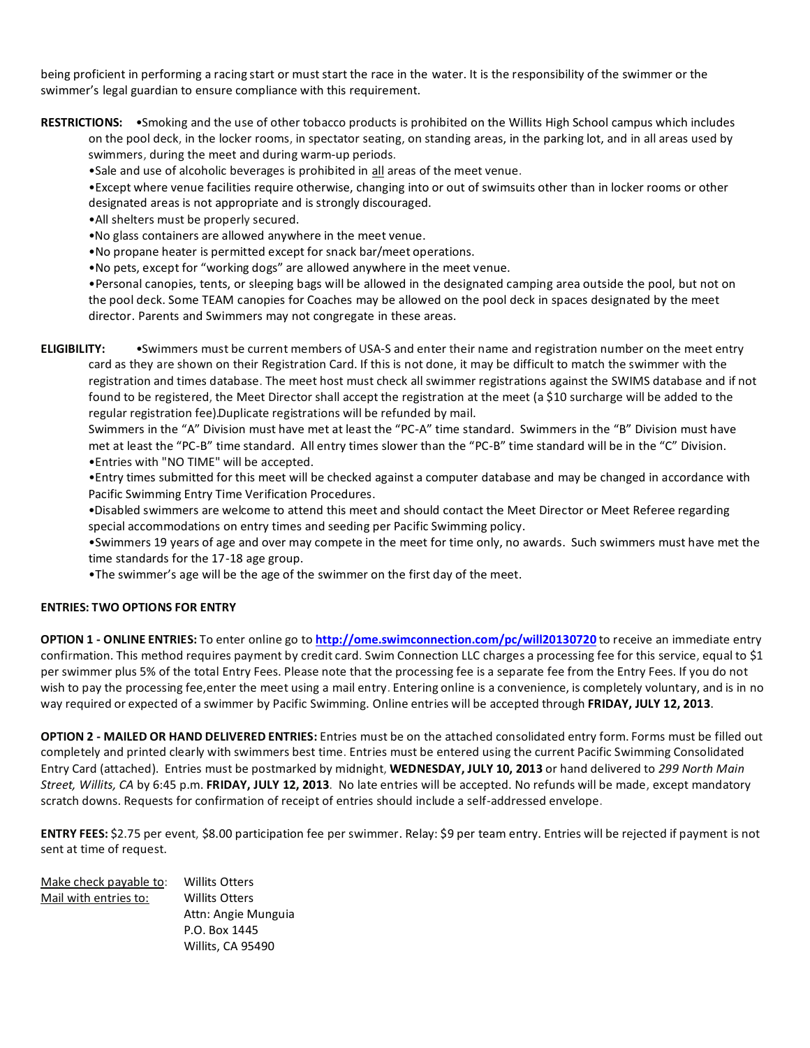being proficient in performing a racing start or must start the race in the water. It is the responsibility of the swimmer or the swimmer's legal guardian to ensure compliance with this requirement.

**RESTRICTIONS:** •Smoking and the use of other tobacco products is prohibited on the Willits High School campus which includes on the pool deck, in the locker rooms, in spectator seating, on standing areas, in the parking lot, and in all areas used by swimmers, during the meet and during warm-up periods.

•Sale and use of alcoholic beverages is prohibited in all areas of the meet venue.

•Except where venue facilities require otherwise, changing into or out of swimsuits other than in locker rooms or other designated areas is not appropriate and is strongly discouraged.

•All shelters must be properly secured.

•No glass containers are allowed anywhere in the meet venue.

•No propane heater is permitted except for snack bar/meet operations.

•No pets, except for "working dogs" are allowed anywhere in the meet venue.

•Personal canopies, tents, or sleeping bags will be allowed in the designated camping area outside the pool, but not on the pool deck. Some TEAM canopies for Coaches may be allowed on the pool deck in spaces designated by the meet director. Parents and Swimmers may not congregate in these areas.

**ELIGIBILITY:** •Swimmers must be current members of USA-S and enter their name and registration number on the meet entry card as they are shown on their Registration Card. If this is not done, it may be difficult to match the swimmer with the registration and times database. The meet host must check all swimmer registrations against the SWIMS database and if not found to be registered, the Meet Director shall accept the registration at the meet (a \$10 surcharge will be added to the regular registration fee). Duplicate registrations will be refunded by mail.

Swimmers in the "A" Division must have met at least the "PC-A" time standard. Swimmers in the "B" Division must have met at least the "PC-B" time standard. All entry times slower than the "PC-B" time standard will be in the "C" Division. •Entries with "NO TIME" will be accepted.

•Entry times submitted for this meet will be checked against a computer database and may be changed in accordance with Pacific Swimming Entry Time Verification Procedures.

•Disabled swimmers are welcome to attend this meet and should contact the Meet Director or Meet Referee regarding special accommodations on entry times and seeding per Pacific Swimming policy.

•Swimmers 19 years of age and over may compete in the meet for time only, no awards. Such swimmers must have met the time standards for the 17-18 age group.

•The swimmer's age will be the age of the swimmer on the first day of the meet.

## **ENTRIES: TWO OPTIONS FOR ENTRY**

**OPTION 1 - ONLINE ENTRIES:** To enter online go to **<http://ome.swimconnection.com/pc/will20130720>** to receive an immediate entry confirmation. This method requires payment by credit card. Swim Connection LLC charges a processing fee for this service, equal to \$1 per swimmer plus 5% of the total Entry Fees. Please note that the processing fee is a separate fee from the Entry Fees. If you do not wish to pay the processing fee,enter the meet using a mail entry. Entering online is a convenience, is completely voluntary, and is in no way required or expected of a swimmer by Pacific Swimming. Online entries will be accepted through **FRIDAY, JULY 12, 2013**.

**OPTION 2 - MAILED OR HAND DELIVERED ENTRIES:** Entries must be on the attached consolidated entry form. Forms must be filled out completely and printed clearly with swimmers best time. Entries must be entered using the current Pacific Swimming Consolidated Entry Card (attached). Entries must be postmarked by midnight, **WEDNESDAY, JULY 10, 2013** or hand delivered to *299 North Main Street, Willits, CA* by 6:45 p.m. **FRIDAY, JULY 12, 2013**. No late entries will be accepted. No refunds will be made, except mandatory scratch downs. Requests for confirmation of receipt of entries should include a self-addressed envelope.

**ENTRY FEES:** \$2.75 per event, \$8.00 participation fee per swimmer. Relay: \$9 per team entry. Entries will be rejected if payment is not sent at time of request.

| Make check payable to: | <b>Willits Otters</b> |
|------------------------|-----------------------|
| Mail with entries to:  | <b>Willits Otters</b> |
|                        | Attn: Angie Munguia   |
|                        | P.O. Box 1445         |
|                        | Willits, CA 95490     |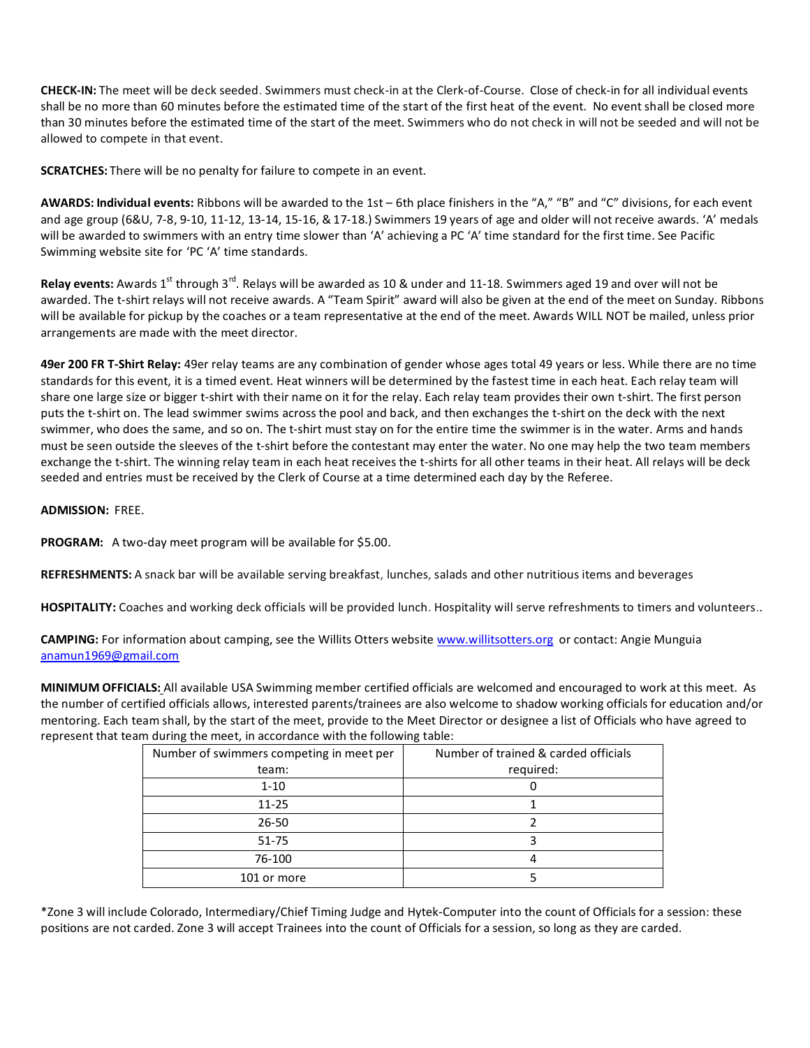**CHECK-IN:** The meet will be deck seeded. Swimmers must check-in at the Clerk-of-Course. Close of check-in for all individual events shall be no more than 60 minutes before the estimated time of the start of the first heat of the event. No event shall be closed more than 30 minutes before the estimated time of the start of the meet. Swimmers who do not check in will not be seeded and will not be allowed to compete in that event.

**SCRATCHES:** There will be no penalty for failure to compete in an event.

**AWARDS: Individual events:** Ribbons will be awarded to the 1st – 6th place finishers in the "A," "B" and "C" divisions, for each event and age group (6&U, 7-8, 9-10, 11-12, 13-14, 15-16, & 17-18.) Swimmers 19 years of age and older will not receive awards. 'A' medals will be awarded to swimmers with an entry time slower than 'A' achieving a PC 'A' time standard for the first time. See Pacific Swimming website site for 'PC 'A' time standards.

Relay events: Awards 1<sup>st</sup> through 3<sup>rd</sup>. Relays will be awarded as 10 & under and 11-18. Swimmers aged 19 and over will not be awarded. The t-shirt relays will not receive awards. A "Team Spirit" award will also be given at the end of the meet on Sunday. Ribbons will be available for pickup by the coaches or a team representative at the end of the meet. Awards WILL NOT be mailed, unless prior arrangements are made with the meet director.

**49er 200 FR T-Shirt Relay:** 49er relay teams are any combination of gender whose ages total 49 years or less. While there are no time standards for this event, it is a timed event. Heat winners will be determined by the fastest time in each heat. Each relay team will share one large size or bigger t-shirt with their name on it for the relay. Each relay team provides their own t-shirt. The first person puts the t-shirt on. The lead swimmer swims across the pool and back, and then exchanges the t-shirt on the deck with the next swimmer, who does the same, and so on. The t-shirt must stay on for the entire time the swimmer is in the water. Arms and hands must be seen outside the sleeves of the t-shirt before the contestant may enter the water. No one may help the two team members exchange the t-shirt. The winning relay team in each heat receives the t-shirts for all other teams in their heat. All relays will be deck seeded and entries must be received by the Clerk of Course at a time determined each day by the Referee.

## **ADMISSION:** FREE.

**PROGRAM:** A two-day meet program will be available for \$5.00.

**REFRESHMENTS:** A snack bar will be available serving breakfast, lunches, salads and other nutritious items and beverages

**HOSPITALITY:** Coaches and working deck officials will be provided lunch. Hospitality will serve refreshments to timers and volunteers..

**CAMPING:** For information about camping, see the Willits Otters website [www.willitsotters.org](http://www.willitsotters.org/) or contact: Angie Munguia [anamun1969@gmail.com](mailto:anamun1969@gmail.com)

**MINIMUM OFFICIALS:** All available USA Swimming member certified officials are welcomed and encouraged to work at this meet. As the number of certified officials allows, interested parents/trainees are also welcome to shadow working officials for education and/or mentoring. Each team shall, by the start of the meet, provide to the Meet Director or designee a list of Officials who have agreed to represent that team during the meet, in accordance with the following table:

| Number of swimmers competing in meet per | Number of trained & carded officials |
|------------------------------------------|--------------------------------------|
| team:                                    | required:                            |
| $1 - 10$                                 |                                      |
| $11 - 25$                                |                                      |
| $26 - 50$                                |                                      |
| $51 - 75$                                |                                      |
| 76-100                                   |                                      |
| 101 or more                              |                                      |

\*Zone 3 will include Colorado, Intermediary/Chief Timing Judge and Hytek-Computer into the count of Officials for a session: these positions are not carded. Zone 3 will accept Trainees into the count of Officials for a session, so long as they are carded.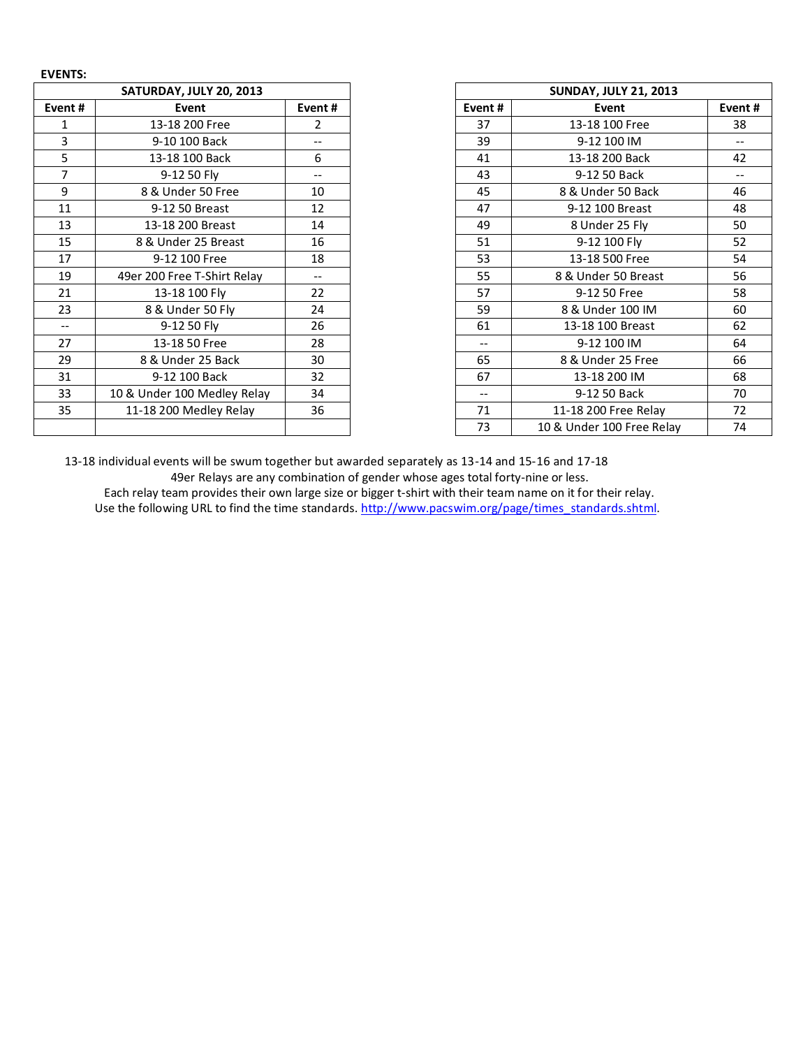| <b>EVENTS:</b> |                             |        |        |                              |  |  |  |
|----------------|-----------------------------|--------|--------|------------------------------|--|--|--|
|                | SATURDAY, JULY 20, 2013     |        |        | <b>SUNDAY, JULY 21, 2013</b> |  |  |  |
| Event#         | Event                       | Event# | Event# | Event                        |  |  |  |
| 1              | 13-18 200 Free              | 2      | 37     | 13-18 100 Free               |  |  |  |
| 3              | 9-10 100 Back               | --     | 39     | 9-12 100 IM                  |  |  |  |
| 5              | 13-18 100 Back              | 6      | 41     | 13-18 200 Back               |  |  |  |
| $\overline{7}$ | 9-12 50 Fly                 | $-$    | 43     | 9-12 50 Back                 |  |  |  |
| 9              | 8 & Under 50 Free           | 10     | 45     | 8 & Under 50 Back            |  |  |  |
| 11             | 9-12 50 Breast              | 12     | 47     | 9-12 100 Breast              |  |  |  |
| 13             | 13-18 200 Breast            | 14     | 49     | 8 Under 25 Fly               |  |  |  |
| 15             | 8 & Under 25 Breast         | 16     | 51     | 9-12 100 Fly                 |  |  |  |
| 17             | 9-12 100 Free               | 18     | 53     | 13-18 500 Free               |  |  |  |
| 19             | 49er 200 Free T-Shirt Relay | $-$    | 55     | 8 & Under 50 Breast          |  |  |  |
| 21             | 13-18 100 Fly               | 22     | 57     | 9-12 50 Free                 |  |  |  |
| 23             | 8 & Under 50 Fly            | 24     | 59     | 8 & Under 100 IM             |  |  |  |
| $-$            | 9-12 50 Fly                 | 26     | 61     | 13-18 100 Breast             |  |  |  |
| 27             | 13-18 50 Free               | 28     | $-$    | 9-12 100 IM                  |  |  |  |
| 29             | 8 & Under 25 Back           | 30     | 65     | 8 & Under 25 Free            |  |  |  |
| 31             | 9-12 100 Back               | 32     | 67     | 13-18 200 IM                 |  |  |  |
| 33             | 10 & Under 100 Medley Relay | 34     | $-\,-$ | 9-12 50 Back                 |  |  |  |
| 35             | 11-18 200 Medley Relay      | 36     | 71     | 11-18 200 Free Relay         |  |  |  |
|                |                             |        | 73     | 10 & Under 100 Free Rela     |  |  |  |

| SATURDAY, JULY 20, 2013 |                             |        |
|-------------------------|-----------------------------|--------|
| Event #                 | Event                       | Event# |
|                         | 13-18 200 Free              | 2      |
| 3                       | 9-10 100 Back               | $- -$  |
| 5                       | 13-18 100 Back              | 6      |
| $\overline{7}$          | 9-12 50 Fly                 | $-$    |
| 9                       | 8 & Under 50 Free           | 10     |
| 11                      | 9-12 50 Breast              | 12     |
| 13                      | 13-18 200 Breast            | 14     |
| 15                      | 8 & Under 25 Breast         | 16     |
| 17                      | 9-12 100 Free               | 18     |
| 19                      | 49er 200 Free T-Shirt Relay |        |
| 21                      | 13-18 100 Fly               | 22     |
| 23                      | 8 & Under 50 Fly            | 24     |
|                         | 9-12 50 Fly                 | 26     |
| 27                      | 13-18 50 Free               | 28     |
| 29                      | 8 & Under 25 Back           | 30     |
| 31                      | 9-12 100 Back               | 32     |
| 33                      | 10 & Under 100 Medley Relay | 34     |
| 35                      | 11-18 200 Medley Relay      | 36     |
|                         |                             |        |

13-18 individual events will be swum together but awarded separately as 13-14 and 15-16 and 17-18 49er Relays are any combination of gender whose ages total forty-nine or less.

Each relay team provides their own large size or bigger t-shirt with their team name on it for their relay. Use the following URL to find the time standards. [http://www.pacswim.org/page/times\\_standards.shtml.](http://www.pacswim.org/page/times_standards.shtml)